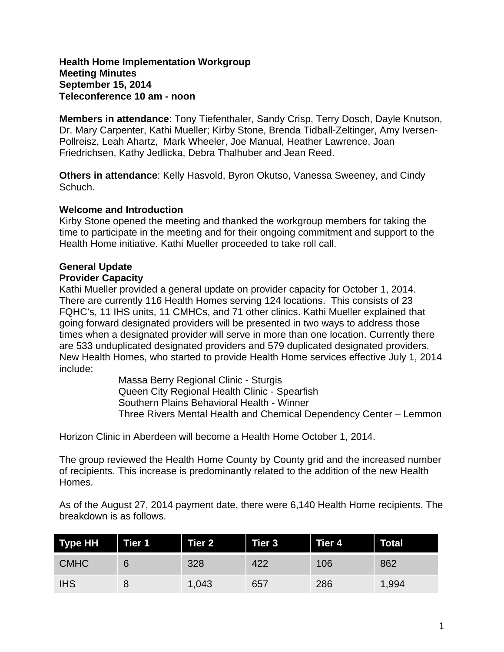#### **Health Home Implementation Workgroup Meeting Minutes September 15, 2014 Teleconference 10 am - noon**

**Members in attendance**: Tony Tiefenthaler, Sandy Crisp, Terry Dosch, Dayle Knutson, Dr. Mary Carpenter, Kathi Mueller; Kirby Stone, Brenda Tidball-Zeltinger, Amy Iversen-Pollreisz, Leah Ahartz, Mark Wheeler, Joe Manual, Heather Lawrence, Joan Friedrichsen, Kathy Jedlicka, Debra Thalhuber and Jean Reed.

**Others in attendance**: Kelly Hasvold, Byron Okutso, Vanessa Sweeney, and Cindy Schuch.

### **Welcome and Introduction**

Kirby Stone opened the meeting and thanked the workgroup members for taking the time to participate in the meeting and for their ongoing commitment and support to the Health Home initiative. Kathi Mueller proceeded to take roll call.

## **General Update**

### **Provider Capacity**

Kathi Mueller provided a general update on provider capacity for October 1, 2014. There are currently 116 Health Homes serving 124 locations. This consists of 23 FQHC's, 11 IHS units, 11 CMHCs, and 71 other clinics. Kathi Mueller explained that going forward designated providers will be presented in two ways to address those times when a designated provider will serve in more than one location. Currently there are 533 unduplicated designated providers and 579 duplicated designated providers. New Health Homes, who started to provide Health Home services effective July 1, 2014 include:

> Massa Berry Regional Clinic - Sturgis Queen City Regional Health Clinic - Spearfish Southern Plains Behavioral Health - Winner Three Rivers Mental Health and Chemical Dependency Center – Lemmon

Horizon Clinic in Aberdeen will become a Health Home October 1, 2014.

The group reviewed the Health Home County by County grid and the increased number of recipients. This increase is predominantly related to the addition of the new Health Homes.

As of the August 27, 2014 payment date, there were 6,140 Health Home recipients. The breakdown is as follows.

| <b>Type HH</b> | Tier 1 | Tier 2 | Tier 3 | Tier 4 | <b>Total</b> |
|----------------|--------|--------|--------|--------|--------------|
| <b>CMHC</b>    | 6      | 328    | 422    | 106    | 862          |
| <b>IHS</b>     |        | 1,043  | 657    | 286    | 1,994        |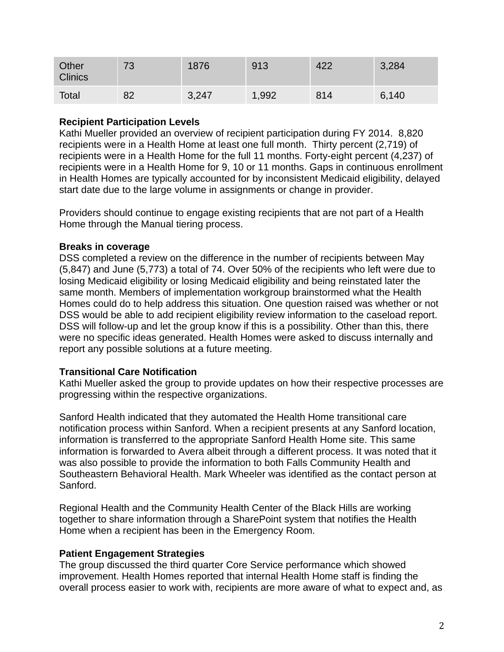| Other<br><b>Clinics</b> | 73 | 1876  | 913   | 422 | 3,284 |
|-------------------------|----|-------|-------|-----|-------|
| Total                   | 82 | 3,247 | 1,992 | 814 | 6,140 |

### **Recipient Participation Levels**

Kathi Mueller provided an overview of recipient participation during FY 2014. 8,820 recipients were in a Health Home at least one full month. Thirty percent (2,719) of recipients were in a Health Home for the full 11 months. Forty-eight percent (4,237) of recipients were in a Health Home for 9, 10 or 11 months. Gaps in continuous enrollment in Health Homes are typically accounted for by inconsistent Medicaid eligibility, delayed start date due to the large volume in assignments or change in provider.

Providers should continue to engage existing recipients that are not part of a Health Home through the Manual tiering process.

## **Breaks in coverage**

DSS completed a review on the difference in the number of recipients between May (5,847) and June (5,773) a total of 74. Over 50% of the recipients who left were due to losing Medicaid eligibility or losing Medicaid eligibility and being reinstated later the same month. Members of implementation workgroup brainstormed what the Health Homes could do to help address this situation. One question raised was whether or not DSS would be able to add recipient eligibility review information to the caseload report. DSS will follow-up and let the group know if this is a possibility. Other than this, there were no specific ideas generated. Health Homes were asked to discuss internally and report any possible solutions at a future meeting.

## **Transitional Care Notification**

Kathi Mueller asked the group to provide updates on how their respective processes are progressing within the respective organizations.

Sanford Health indicated that they automated the Health Home transitional care notification process within Sanford. When a recipient presents at any Sanford location, information is transferred to the appropriate Sanford Health Home site. This same information is forwarded to Avera albeit through a different process. It was noted that it was also possible to provide the information to both Falls Community Health and Southeastern Behavioral Health. Mark Wheeler was identified as the contact person at Sanford.

Regional Health and the Community Health Center of the Black Hills are working together to share information through a SharePoint system that notifies the Health Home when a recipient has been in the Emergency Room.

## **Patient Engagement Strategies**

The group discussed the third quarter Core Service performance which showed improvement. Health Homes reported that internal Health Home staff is finding the overall process easier to work with, recipients are more aware of what to expect and, as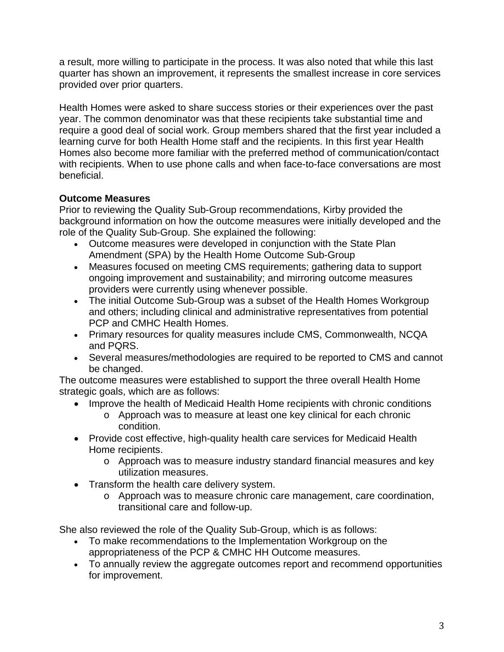a result, more willing to participate in the process. It was also noted that while this last quarter has shown an improvement, it represents the smallest increase in core services provided over prior quarters.

Health Homes were asked to share success stories or their experiences over the past year. The common denominator was that these recipients take substantial time and require a good deal of social work. Group members shared that the first year included a learning curve for both Health Home staff and the recipients. In this first year Health Homes also become more familiar with the preferred method of communication/contact with recipients. When to use phone calls and when face-to-face conversations are most beneficial.

## **Outcome Measures**

Prior to reviewing the Quality Sub-Group recommendations, Kirby provided the background information on how the outcome measures were initially developed and the role of the Quality Sub-Group. She explained the following:

- Outcome measures were developed in conjunction with the State Plan Amendment (SPA) by the Health Home Outcome Sub-Group
- Measures focused on meeting CMS requirements; gathering data to support ongoing improvement and sustainability; and mirroring outcome measures providers were currently using whenever possible.
- The initial Outcome Sub-Group was a subset of the Health Homes Workgroup and others; including clinical and administrative representatives from potential PCP and CMHC Health Homes.
- Primary resources for quality measures include CMS, Commonwealth, NCQA and PQRS.
- Several measures/methodologies are required to be reported to CMS and cannot be changed.

The outcome measures were established to support the three overall Health Home strategic goals, which are as follows:

- Improve the health of Medicaid Health Home recipients with chronic conditions
	- o Approach was to measure at least one key clinical for each chronic condition.
- Provide cost effective, high-quality health care services for Medicaid Health Home recipients.
	- o Approach was to measure industry standard financial measures and key utilization measures.
- Transform the health care delivery system.
	- o Approach was to measure chronic care management, care coordination, transitional care and follow-up.

She also reviewed the role of the Quality Sub-Group, which is as follows:

- To make recommendations to the Implementation Workgroup on the appropriateness of the PCP & CMHC HH Outcome measures.
- To annually review the aggregate outcomes report and recommend opportunities for improvement.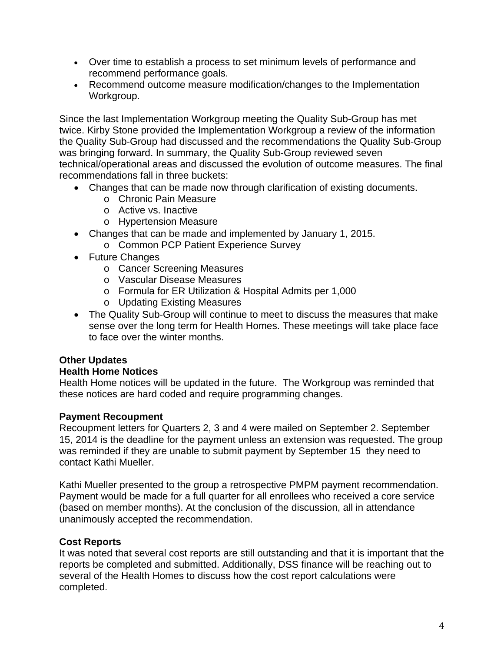- Over time to establish a process to set minimum levels of performance and recommend performance goals.
- Recommend outcome measure modification/changes to the Implementation Workgroup.

Since the last Implementation Workgroup meeting the Quality Sub-Group has met twice. Kirby Stone provided the Implementation Workgroup a review of the information the Quality Sub-Group had discussed and the recommendations the Quality Sub-Group was bringing forward. In summary, the Quality Sub-Group reviewed seven technical/operational areas and discussed the evolution of outcome measures. The final recommendations fall in three buckets:

- Changes that can be made now through clarification of existing documents.
	- o Chronic Pain Measure
	- o Active vs. Inactive
	- o Hypertension Measure
- Changes that can be made and implemented by January 1, 2015.
	- o Common PCP Patient Experience Survey
- Future Changes
	- o Cancer Screening Measures
	- o Vascular Disease Measures
	- o Formula for ER Utilization & Hospital Admits per 1,000
	- o Updating Existing Measures
- The Quality Sub-Group will continue to meet to discuss the measures that make sense over the long term for Health Homes. These meetings will take place face to face over the winter months.

# **Other Updates**

# **Health Home Notices**

Health Home notices will be updated in the future. The Workgroup was reminded that these notices are hard coded and require programming changes.

# **Payment Recoupment**

Recoupment letters for Quarters 2, 3 and 4 were mailed on September 2. September 15, 2014 is the deadline for the payment unless an extension was requested. The group was reminded if they are unable to submit payment by September 15 they need to contact Kathi Mueller.

Kathi Mueller presented to the group a retrospective PMPM payment recommendation. Payment would be made for a full quarter for all enrollees who received a core service (based on member months). At the conclusion of the discussion, all in attendance unanimously accepted the recommendation.

# **Cost Reports**

It was noted that several cost reports are still outstanding and that it is important that the reports be completed and submitted. Additionally, DSS finance will be reaching out to several of the Health Homes to discuss how the cost report calculations were completed.